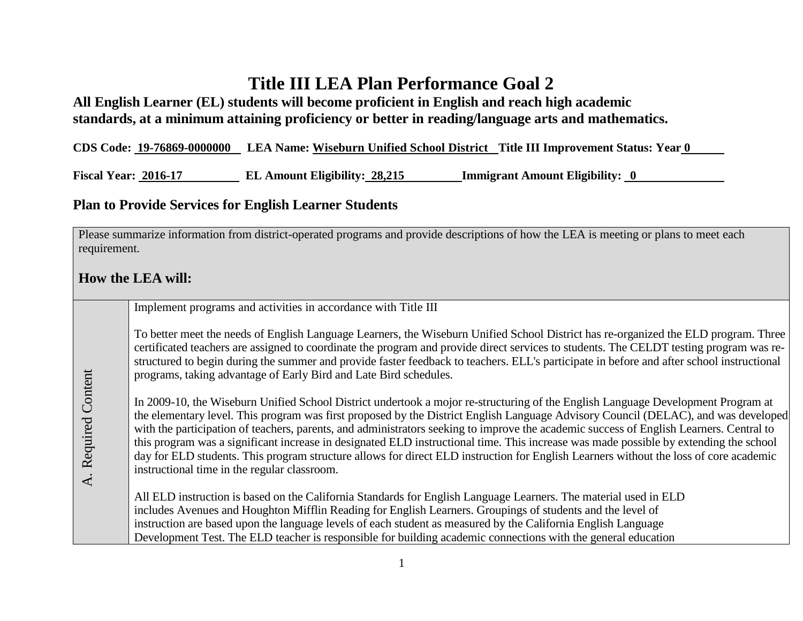# **Title III LEA Plan Performance Goal 2**

**All English Learner (EL) students will become proficient in English and reach high academic standards, at a minimum attaining proficiency or better in reading/language arts and mathematics.**

**CDS Code: 19-76869-0000000 LEA Name: Wiseburn Unified School District Title III Improvement Status: Year 0**

**Fiscal Year: 2016-17 EL Amount Eligibility: 28,215 Immigrant Amount Eligibility: 0**

### **Plan to Provide Services for English Learner Students**

Please summarize information from district-operated programs and provide descriptions of how the LEA is meeting or plans to meet each requirement.

**How the LEA will:**

A. Required Content

A. Required Content

Implement programs and activities in accordance with Title III

To better meet the needs of English Language Learners, the Wiseburn Unified School District has re-organized the ELD program. Three certificated teachers are assigned to coordinate the program and provide direct services to students. The CELDT testing program was restructured to begin during the summer and provide faster feedback to teachers. ELL's participate in before and after school instructional programs, taking advantage of Early Bird and Late Bird schedules.

In 2009-10, the Wiseburn Unified School District undertook a mojor re-structuring of the English Language Development Program at the elementary level. This program was first proposed by the District English Language Advisory Council (DELAC), and was developed with the participation of teachers, parents, and administrators seeking to improve the academic success of English Learners. Central to this program was a significant increase in designated ELD instructional time. This increase was made possible by extending the school day for ELD students. This program structure allows for direct ELD instruction for English Learners without the loss of core academic instructional time in the regular classroom.

All ELD instruction is based on the California Standards for English Language Learners. The material used in ELD includes Avenues and Houghton Mifflin Reading for English Learners. Groupings of students and the level of instruction are based upon the language levels of each student as measured by the California English Language Development Test. The ELD teacher is responsible for building academic connections with the general education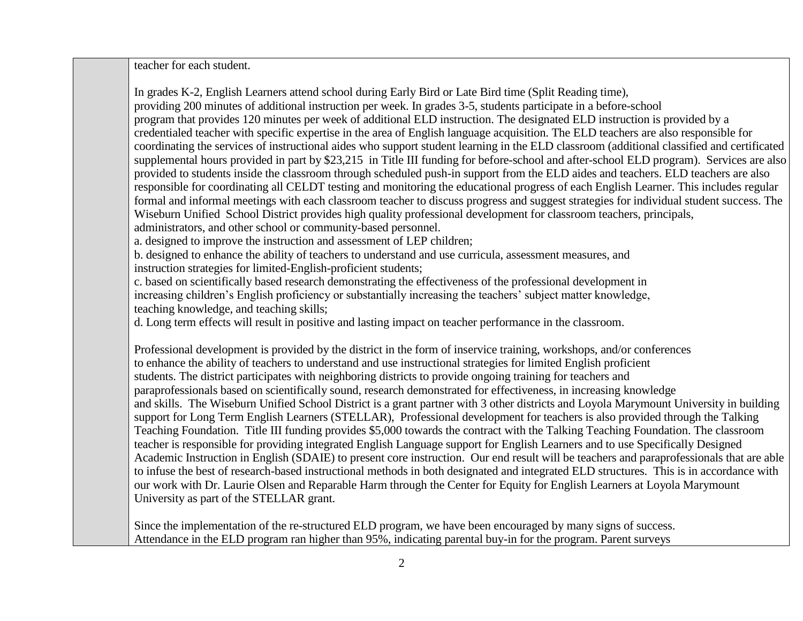teacher for each student.

In grades K-2, English Learners attend school during Early Bird or Late Bird time (Split Reading time), providing 200 minutes of additional instruction per week. In grades 3-5, students participate in a before-school program that provides 120 minutes per week of additional ELD instruction. The designated ELD instruction is provided by a credentialed teacher with specific expertise in the area of English language acquisition. The ELD teachers are also responsible for coordinating the services of instructional aides who support student learning in the ELD classroom (additional classified and certificated supplemental hours provided in part by \$23,215 in Title III funding for before-school and after-school ELD program). Services are also provided to students inside the classroom through scheduled push-in support from the ELD aides and teachers. ELD teachers are also responsible for coordinating all CELDT testing and monitoring the educational progress of each English Learner. This includes regular formal and informal meetings with each classroom teacher to discuss progress and suggest strategies for individual student success. The Wiseburn Unified School District provides high quality professional development for classroom teachers, principals, administrators, and other school or community-based personnel.

a. designed to improve the instruction and assessment of LEP children;

b. designed to enhance the ability of teachers to understand and use curricula, assessment measures, and instruction strategies for limited-English-proficient students;

c. based on scientifically based research demonstrating the effectiveness of the professional development in increasing children's English proficiency or substantially increasing the teachers' subject matter knowledge, teaching knowledge, and teaching skills;

d. Long term effects will result in positive and lasting impact on teacher performance in the classroom.

Professional development is provided by the district in the form of inservice training, workshops, and/or conferences to enhance the ability of teachers to understand and use instructional strategies for limited English proficient students. The district participates with neighboring districts to provide ongoing training for teachers and paraprofessionals based on scientifically sound, research demonstrated for effectiveness, in increasing knowledge and skills. The Wiseburn Unified School District is a grant partner with 3 other districts and Loyola Marymount University in building support for Long Term English Learners (STELLAR), Professional development for teachers is also provided through the Talking Teaching Foundation. Title III funding provides \$5,000 towards the contract with the Talking Teaching Foundation. The classroom teacher is responsible for providing integrated English Language support for English Learners and to use Specifically Designed Academic Instruction in English (SDAIE) to present core instruction. Our end result will be teachers and paraprofessionals that are able to infuse the best of research-based instructional methods in both designated and integrated ELD structures. This is in accordance with our work with Dr. Laurie Olsen and Reparable Harm through the Center for Equity for English Learners at Loyola Marymount University as part of the STELLAR grant.

Since the implementation of the re-structured ELD program, we have been encouraged by many signs of success. Attendance in the ELD program ran higher than 95%, indicating parental buy-in for the program. Parent surveys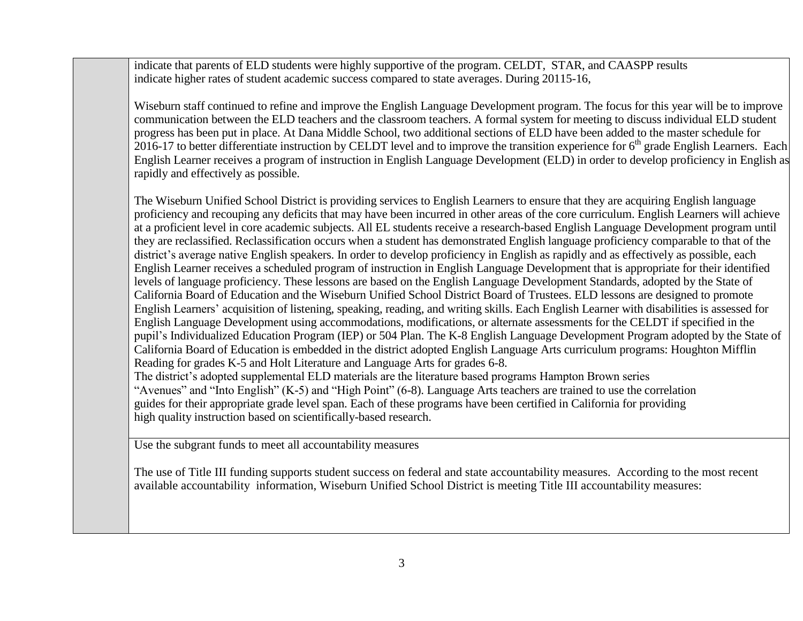indicate that parents of ELD students were highly supportive of the program. CELDT, STAR, and CAASPP results indicate higher rates of student academic success compared to state averages. During 20115-16,

Wiseburn staff continued to refine and improve the English Language Development program. The focus for this year will be to improve communication between the ELD teachers and the classroom teachers. A formal system for meeting to discuss individual ELD student progress has been put in place. At Dana Middle School, two additional sections of ELD have been added to the master schedule for 2016-17 to better differentiate instruction by CELDT level and to improve the transition experience for  $6<sup>th</sup>$  grade English Learners. Each English Learner receives a program of instruction in English Language Development (ELD) in order to develop proficiency in English as rapidly and effectively as possible.

The Wiseburn Unified School District is providing services to English Learners to ensure that they are acquiring English language proficiency and recouping any deficits that may have been incurred in other areas of the core curriculum. English Learners will achieve at a proficient level in core academic subjects. All EL students receive a research-based English Language Development program until they are reclassified. Reclassification occurs when a student has demonstrated English language proficiency comparable to that of the district's average native English speakers. In order to develop proficiency in English as rapidly and as effectively as possible, each English Learner receives a scheduled program of instruction in English Language Development that is appropriate for their identified levels of language proficiency. These lessons are based on the English Language Development Standards, adopted by the State of California Board of Education and the Wiseburn Unified School District Board of Trustees. ELD lessons are designed to promote English Learners' acquisition of listening, speaking, reading, and writing skills. Each English Learner with disabilities is assessed for English Language Development using accommodations, modifications, or alternate assessments for the CELDT if specified in the pupil's Individualized Education Program (IEP) or 504 Plan. The K-8 English Language Development Program adopted by the State of California Board of Education is embedded in the district adopted English Language Arts curriculum programs: Houghton Mifflin Reading for grades K-5 and Holt Literature and Language Arts for grades 6-8. The district's adopted supplemental ELD materials are the literature based programs Hampton Brown series "Avenues" and "Into English" (K-5) and "High Point" (6-8). Language Arts teachers are trained to use the correlation

guides for their appropriate grade level span. Each of these programs have been certified in California for providing high quality instruction based on scientifically-based research.

Use the subgrant funds to meet all accountability measures

The use of Title III funding supports student success on federal and state accountability measures. According to the most recent available accountability information, Wiseburn Unified School District is meeting Title III accountability measures: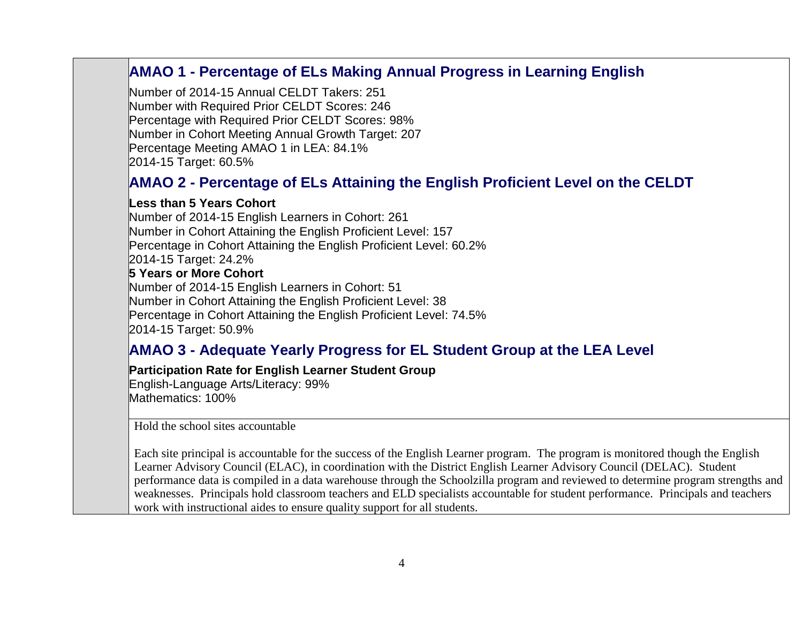### **AMAO 1 - Percentage of ELs Making Annual Progress in Learning English**

Number of 2014-15 Annual CELDT Takers: 251 Number with Required Prior CELDT Scores: 246 Percentage with Required Prior CELDT Scores: 98% Number in Cohort Meeting Annual Growth Target: 207 Percentage Meeting AMAO 1 in LEA: 84.1% 2014-15 Target: 60.5%

## **AMAO 2 - Percentage of ELs Attaining the English Proficient Level on the CELDT**

#### **Less than 5 Years Cohort**

Number of 2014-15 English Learners in Cohort: 261 Number in Cohort Attaining the English Proficient Level: 157 Percentage in Cohort Attaining the English Proficient Level: 60.2% 2014-15 Target: 24.2%

#### **5 Years or More Cohort**

Number of 2014-15 English Learners in Cohort: 51 Number in Cohort Attaining the English Proficient Level: 38 Percentage in Cohort Attaining the English Proficient Level: 74.5% 2014-15 Target: 50.9%

### **AMAO 3 - Adequate Yearly Progress for EL Student Group at the LEA Level**

**Participation Rate for English Learner Student Group**

English-Language Arts/Literacy: 99% Mathematics: 100%

Hold the school sites accountable

Each site principal is accountable for the success of the English Learner program. The program is monitored though the English Learner Advisory Council (ELAC), in coordination with the District English Learner Advisory Council (DELAC). Student performance data is compiled in a data warehouse through the Schoolzilla program and reviewed to determine program strengths and weaknesses. Principals hold classroom teachers and ELD specialists accountable for student performance. Principals and teachers work with instructional aides to ensure quality support for all students.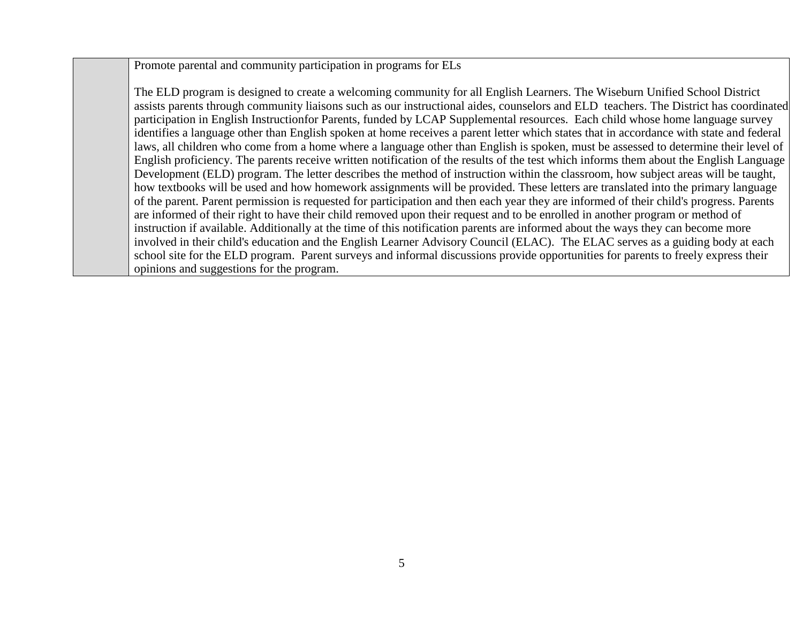Promote parental and community participation in programs for ELs

The ELD program is designed to create a welcoming community for all English Learners. The Wiseburn Unified School District assists parents through community liaisons such as our instructional aides, counselors and ELD teachers. The District has coordinated participation in English Instructionfor Parents, funded by LCAP Supplemental resources. Each child whose home language survey identifies a language other than English spoken at home receives a parent letter which states that in accordance with state and federal laws, all children who come from a home where a language other than English is spoken, must be assessed to determine their level of English proficiency. The parents receive written notification of the results of the test which informs them about the English Language Development (ELD) program. The letter describes the method of instruction within the classroom, how subject areas will be taught, how textbooks will be used and how homework assignments will be provided. These letters are translated into the primary language of the parent. Parent permission is requested for participation and then each year they are informed of their child's progress. Parents are informed of their right to have their child removed upon their request and to be enrolled in another program or method of instruction if available. Additionally at the time of this notification parents are informed about the ways they can become more involved in their child's education and the English Learner Advisory Council (ELAC). The ELAC serves as a guiding body at each school site for the ELD program. Parent surveys and informal discussions provide opportunities for parents to freely express their opinions and suggestions for the program.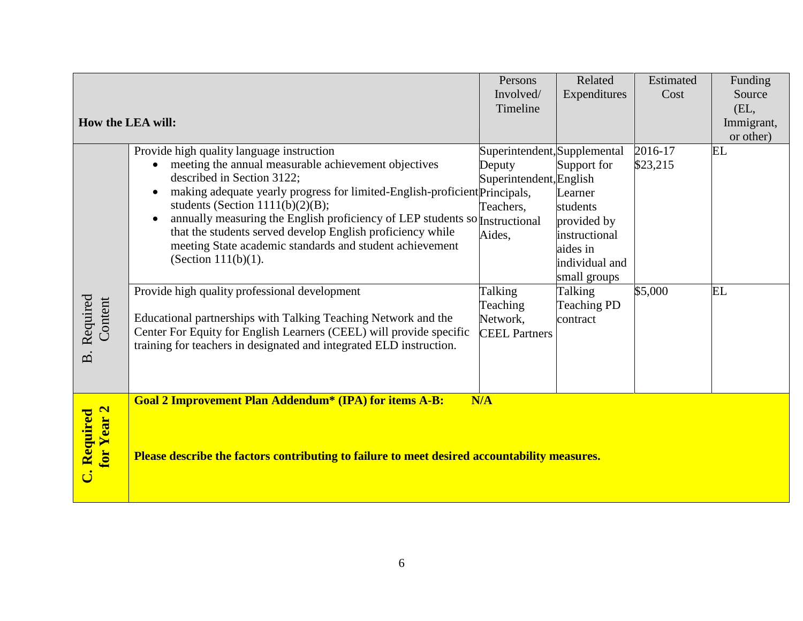|                                  |                                                                                                                                                                                                                                                                                                                                                                                                                                                                       | Persons                      | Related                   | Estimated | Funding    |  |
|----------------------------------|-----------------------------------------------------------------------------------------------------------------------------------------------------------------------------------------------------------------------------------------------------------------------------------------------------------------------------------------------------------------------------------------------------------------------------------------------------------------------|------------------------------|---------------------------|-----------|------------|--|
|                                  |                                                                                                                                                                                                                                                                                                                                                                                                                                                                       | Involved/                    | Expenditures              | Cost      | Source     |  |
|                                  |                                                                                                                                                                                                                                                                                                                                                                                                                                                                       | Timeline                     |                           |           | (EL,       |  |
| How the LEA will:                |                                                                                                                                                                                                                                                                                                                                                                                                                                                                       |                              |                           |           | Immigrant, |  |
|                                  |                                                                                                                                                                                                                                                                                                                                                                                                                                                                       |                              |                           |           | or other)  |  |
|                                  | Provide high quality language instruction                                                                                                                                                                                                                                                                                                                                                                                                                             | Superintendent, Supplemental |                           | 2016-17   | EL         |  |
|                                  | meeting the annual measurable achievement objectives<br>described in Section 3122;<br>making adequate yearly progress for limited-English-proficient Principals,<br>$\bullet$<br>students (Section 1111(b) $(2)(B)$ ;<br>annually measuring the English proficiency of LEP students so Instructional<br>$\bullet$<br>that the students served develop English proficiency while<br>meeting State academic standards and student achievement<br>(Section $111(b)(1)$ . | Deputy                       | Support for               | \$23,215  |            |  |
|                                  |                                                                                                                                                                                                                                                                                                                                                                                                                                                                       | Superintendent, English      |                           |           |            |  |
|                                  |                                                                                                                                                                                                                                                                                                                                                                                                                                                                       |                              | Learner                   |           |            |  |
|                                  |                                                                                                                                                                                                                                                                                                                                                                                                                                                                       | Teachers,                    | students                  |           |            |  |
|                                  |                                                                                                                                                                                                                                                                                                                                                                                                                                                                       |                              | provided by               |           |            |  |
|                                  |                                                                                                                                                                                                                                                                                                                                                                                                                                                                       | Aides,                       | instructional<br>aides in |           |            |  |
|                                  |                                                                                                                                                                                                                                                                                                                                                                                                                                                                       |                              | individual and            |           |            |  |
|                                  |                                                                                                                                                                                                                                                                                                                                                                                                                                                                       |                              | small groups              |           |            |  |
|                                  | Provide high quality professional development                                                                                                                                                                                                                                                                                                                                                                                                                         | Talking                      | Talking                   | \$5,000   | EL         |  |
|                                  |                                                                                                                                                                                                                                                                                                                                                                                                                                                                       | Teaching                     | <b>Teaching PD</b>        |           |            |  |
|                                  | Educational partnerships with Talking Teaching Network and the<br>Center For Equity for English Learners (CEEL) will provide specific                                                                                                                                                                                                                                                                                                                                 | Network,                     | contract                  |           |            |  |
| Required<br>Content              |                                                                                                                                                                                                                                                                                                                                                                                                                                                                       | <b>CEEL Partners</b>         |                           |           |            |  |
|                                  | training for teachers in designated and integrated ELD instruction.                                                                                                                                                                                                                                                                                                                                                                                                   |                              |                           |           |            |  |
| $\dot{B}$                        |                                                                                                                                                                                                                                                                                                                                                                                                                                                                       |                              |                           |           |            |  |
|                                  |                                                                                                                                                                                                                                                                                                                                                                                                                                                                       |                              |                           |           |            |  |
|                                  |                                                                                                                                                                                                                                                                                                                                                                                                                                                                       |                              |                           |           |            |  |
|                                  | <b>Goal 2 Improvement Plan Addendum* (IPA) for items A-B:</b>                                                                                                                                                                                                                                                                                                                                                                                                         | N/A                          |                           |           |            |  |
|                                  |                                                                                                                                                                                                                                                                                                                                                                                                                                                                       |                              |                           |           |            |  |
|                                  |                                                                                                                                                                                                                                                                                                                                                                                                                                                                       |                              |                           |           |            |  |
|                                  |                                                                                                                                                                                                                                                                                                                                                                                                                                                                       |                              |                           |           |            |  |
| for Year 2<br><b>C. Required</b> | Please describe the factors contributing to failure to meet desired accountability measures.                                                                                                                                                                                                                                                                                                                                                                          |                              |                           |           |            |  |
|                                  |                                                                                                                                                                                                                                                                                                                                                                                                                                                                       |                              |                           |           |            |  |
|                                  |                                                                                                                                                                                                                                                                                                                                                                                                                                                                       |                              |                           |           |            |  |
|                                  |                                                                                                                                                                                                                                                                                                                                                                                                                                                                       |                              |                           |           |            |  |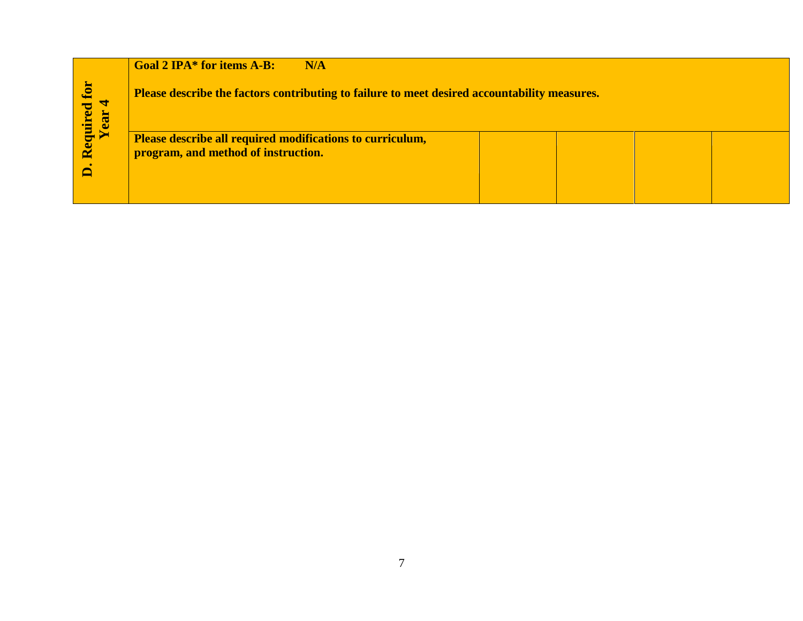|                                           | <b>Goal 2 IPA* for items A-B:</b><br>N/A                                                         |  |  |  |  |  |
|-------------------------------------------|--------------------------------------------------------------------------------------------------|--|--|--|--|--|
| ior<br>$\overline{\mathbf{B}}$<br>Require | Please describe the factors contributing to failure to meet desired accountability measures.     |  |  |  |  |  |
|                                           | Please describe all required modifications to curriculum,<br>program, and method of instruction. |  |  |  |  |  |